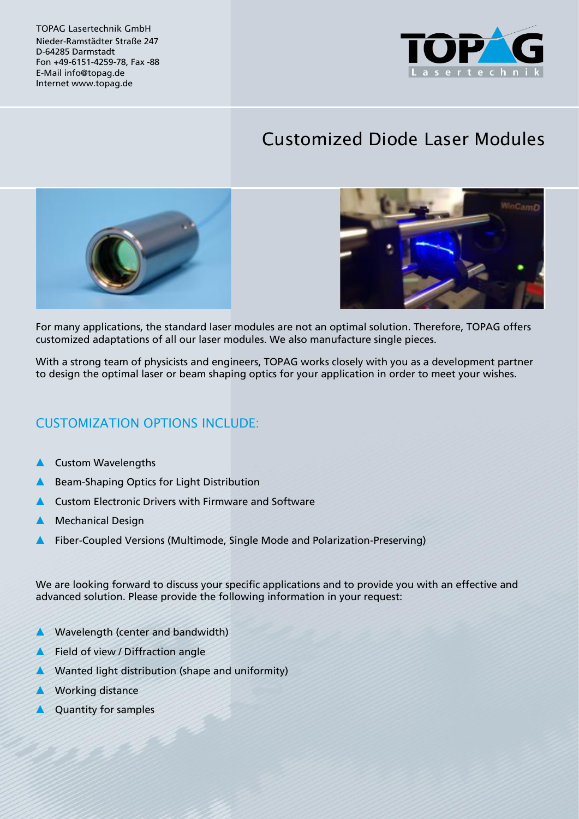TOPAG Lasertechnik GmbH Nieder-Ramstädter Straße 247 D-64285 Darmstadt Fon +49-6151-4259-78, Fax -88 E-Mail info@topag.de Internet www.topag.de



## Customized Diode Laser Modules





For many applications, the standard laser modules are not an optimal solution. Therefore, TOPAG offers customized adaptations of all our laser modules. We also manufacture single pieces.

With a strong team of physicists and engineers, TOPAG works closely with you as a development partner to design the optimal laser or beam shaping optics for your application in order to meet your wishes.

## CUSTOMIZATION OPTIONS INCLUDE:

- **Custom Wavelengths**
- Beam-Shaping Optics for Light Distribution
- Custom Electronic Drivers with Firmware and Software
- **Mechanical Design**
- Fiber-Coupled Versions (Multimode, Single Mode and Polarization-Preserving)

We are looking forward to discuss your specific applications and to provide you with an effective and advanced solution. Please provide the following information in your request:

- Wavelength (center and bandwidth)
- Field of view / Diffraction angle
- Wanted light distribution (shape and uniformity)
- **Working distance**
- Quantity for samples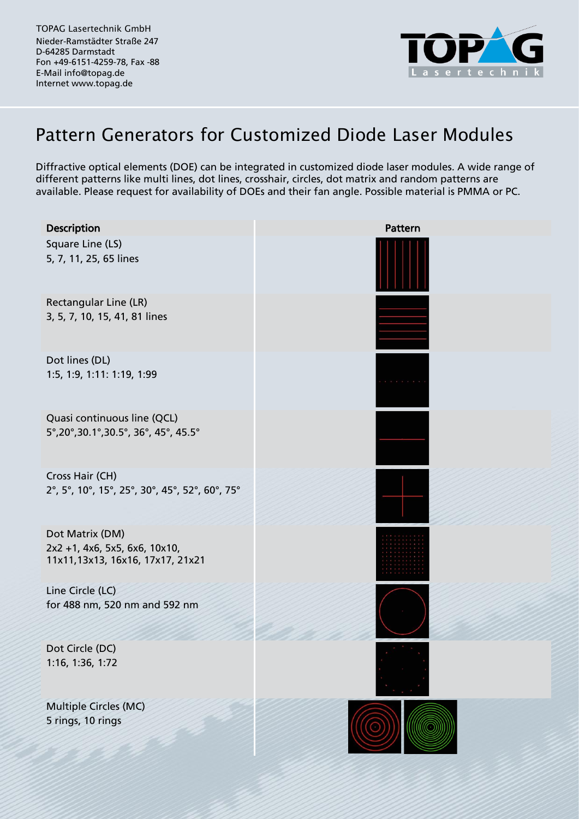TOPAG Lasertechnik GmbH Nieder-Ramstädter Straße 247 D-64285 Darmstadt Fon +49-6151-4259-78, Fax -88 E-Mail info@topag.de Internet www.topag.de



## Pattern Generators for Customized Diode Laser Modules

Diffractive optical elements (DOE) can be integrated in customized diode laser modules. A wide range of different patterns like multi lines, dot lines, crosshair, circles, dot matrix and random patterns are available. Please request for availability of DOEs and their fan angle. Possible material is PMMA or PC.

| Description                                                                          | Pattern |
|--------------------------------------------------------------------------------------|---------|
| Square Line (LS)<br>5, 7, 11, 25, 65 lines                                           |         |
| Rectangular Line (LR)<br>3, 5, 7, 10, 15, 41, 81 lines                               |         |
| Dot lines (DL)<br>1:5, 1:9, 1:11: 1:19, 1:99                                         |         |
| Quasi continuous line (QCL)<br>5°,20°,30.1°,30.5°, 36°, 45°, 45.5°                   |         |
| Cross Hair (CH)<br>2°, 5°, 10°, 15°, 25°, 30°, 45°, 52°, 60°, 75°                    |         |
| Dot Matrix (DM)<br>2x2 +1, 4x6, 5x5, 6x6, 10x10,<br>11x11,13x13, 16x16, 17x17, 21x21 |         |
| Line Circle (LC)<br>for 488 nm, 520 nm and 592 nm                                    |         |
| Dot Circle (DC)<br>1:16, 1:36, 1:72                                                  |         |
| Multiple Circles (MC)                                                                |         |
| 5 rings, 10 rings                                                                    |         |
|                                                                                      |         |